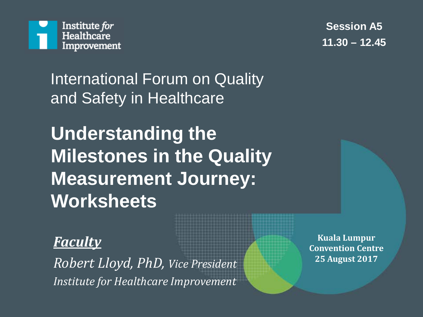

**Session A5 11.30 – 12.45**

International Forum on Quality and Safety in Healthcare

**Understanding the Milestones in the Quality Measurement Journey: Worksheets**

### *Faculty*

*Robert Lloyd, PhD, Vice President Institute for Healthcare Improvement*

**Kuala Lumpur Convention Centre 25 August 2017**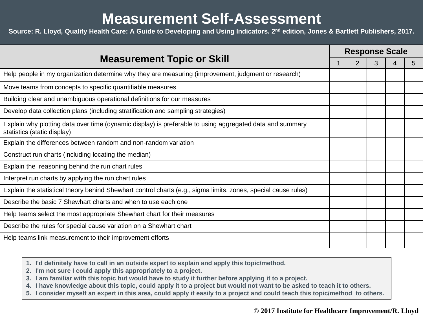### **Measurement Self-Assessment**

**Source: R. Lloyd, Quality Health Care: A Guide to Developing and Using Indicators. 2nd edition, Jones & Bartlett Publishers, 2017.**

| <b>Measurement Topic or Skill</b>                                                                                                       | <b>Response Scale</b> |   |   |   |   |
|-----------------------------------------------------------------------------------------------------------------------------------------|-----------------------|---|---|---|---|
|                                                                                                                                         |                       | 2 | 3 | 4 | 5 |
| Help people in my organization determine why they are measuring (improvement, judgment or research)                                     |                       |   |   |   |   |
| Move teams from concepts to specific quantifiable measures                                                                              |                       |   |   |   |   |
| Building clear and unambiguous operational definitions for our measures                                                                 |                       |   |   |   |   |
| Develop data collection plans (including stratification and sampling strategies)                                                        |                       |   |   |   |   |
| Explain why plotting data over time (dynamic display) is preferable to using aggregated data and summary<br>statistics (static display) |                       |   |   |   |   |
| Explain the differences between random and non-random variation                                                                         |                       |   |   |   |   |
| Construct run charts (including locating the median)                                                                                    |                       |   |   |   |   |
| Explain the reasoning behind the run chart rules                                                                                        |                       |   |   |   |   |
| Interpret run charts by applying the run chart rules                                                                                    |                       |   |   |   |   |
| Explain the statistical theory behind Shewhart control charts (e.g., sigma limits, zones, special cause rules)                          |                       |   |   |   |   |
| Describe the basic 7 Shewhart charts and when to use each one                                                                           |                       |   |   |   |   |
| Help teams select the most appropriate Shewhart chart for their measures                                                                |                       |   |   |   |   |
| Describe the rules for special cause variation on a Shewhart chart                                                                      |                       |   |   |   |   |
| Help teams link measurement to their improvement efforts                                                                                |                       |   |   |   |   |

- **1. I'd definitely have to call in an outside expert to explain and apply this topic/method.**
- **2. I'm not sure I could apply this appropriately to a project.**
- **3. I am familiar with this topic but would have to study it further before applying it to a project.**
- **4. I have knowledge about this topic, could apply it to a project but would not want to be asked to teach it to others.**
- **5. I consider myself an expert in this area, could apply it easily to a project and could teach this topic/method to others.**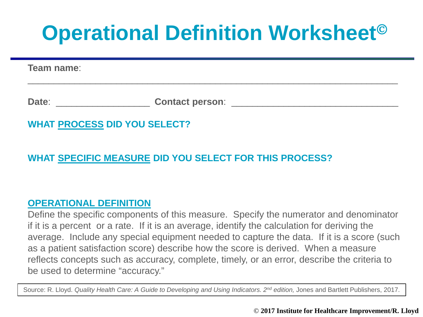# **Operational Definition Worksheet**

\_\_\_\_\_\_\_\_\_\_\_\_\_\_\_\_\_\_\_\_\_\_\_\_\_\_\_\_\_\_\_\_\_\_\_\_\_\_\_\_\_\_\_\_\_\_\_\_\_\_\_\_\_\_\_\_\_\_\_\_\_\_\_\_\_\_\_\_\_\_\_

**Team name**:

Date: \_\_\_\_\_\_\_\_\_\_\_\_\_\_\_\_\_\_\_\_\_\_\_\_\_Contact person: \_\_\_\_\_\_\_\_\_\_\_\_\_\_\_\_\_\_\_\_\_\_\_\_\_\_\_\_\_\_\_\_\_

**WHAT PROCESS DID YOU SELECT?**

### **WHAT SPECIFIC MEASURE DID YOU SELECT FOR THIS PROCESS?**

### **OPERATIONAL DEFINITION**

Define the specific components of this measure. Specify the numerator and denominator if it is a percent or a rate. If it is an average, identify the calculation for deriving the average. Include any special equipment needed to capture the data. If it is a score (such as a patient satisfaction score) describe how the score is derived. When a measure reflects concepts such as accuracy, complete, timely, or an error, describe the criteria to be used to determine "accuracy."

Source: R. Lloyd. *Quality Health Care: A Guide to Developing and Using Indicators. 2nd edition,* Jones and Bartlett Publishers, 2017.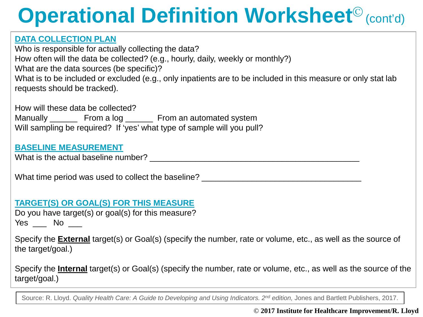# **Operational Definition Worksheet<sup>©</sup> (cont'd)**

#### **DATA COLLECTION PLAN**

Who is responsible for actually collecting the data? How often will the data be collected? (e.g., hourly, daily, weekly or monthly?) What are the data sources (be specific)? What is to be included or excluded (e.g., only inpatients are to be included in this measure or only stat lab requests should be tracked).

How will these data be collected? Manually \_\_\_\_\_\_\_ From a log \_\_\_\_\_\_ From an automated system Will sampling be required? If 'yes' what type of sample will you pull?

#### **BASELINE MEASUREMENT**

What is the actual baseline number? \_\_\_\_\_\_\_\_\_\_\_\_\_\_\_\_\_\_\_\_\_\_\_\_\_\_\_\_\_\_\_\_\_\_\_\_\_\_\_\_\_\_\_\_\_\_

What time period was used to collect the baseline?

#### **TARGET(S) OR GOAL(S) FOR THIS MEASURE**

Do you have target(s) or goal(s) for this measure? Yes \_\_\_ No \_\_\_

Specify the **External** target(s) or Goal(s) (specify the number, rate or volume, etc., as well as the source of the target/goal.)

Specify the **Internal** target(s) or Goal(s) (specify the number, rate or volume, etc., as well as the source of the target/goal.)

Source: R. Lloyd. *Quality Health Care: A Guide to Developing and Using Indicators. 2nd edition,* Jones and Bartlett Publishers, 2017.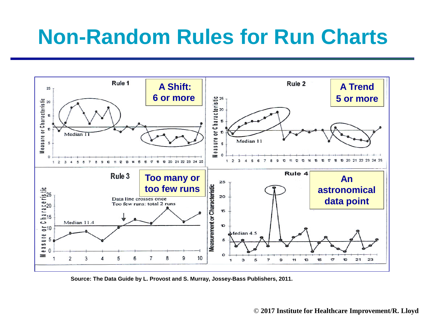## **Non-Random Rules for Run Charts**



**Source: The Data Guide by L. Provost and S. Murray, Jossey-Bass Publishers, 2011.**

#### © **2017 Institute for Healthcare Improvement/R. Lloyd**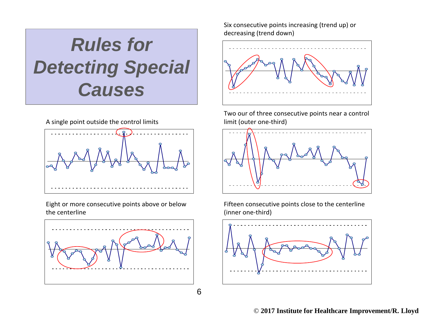### *Rules for Detecting Special Causes*





Eight or more consecutive points above or below the centerline



Six consecutive points increasing (trend up) or decreasing (trend down)



Two our of three consecutive points near a control limit (outer one-third)



Fifteen consecutive points close to the centerline (inner one-third)